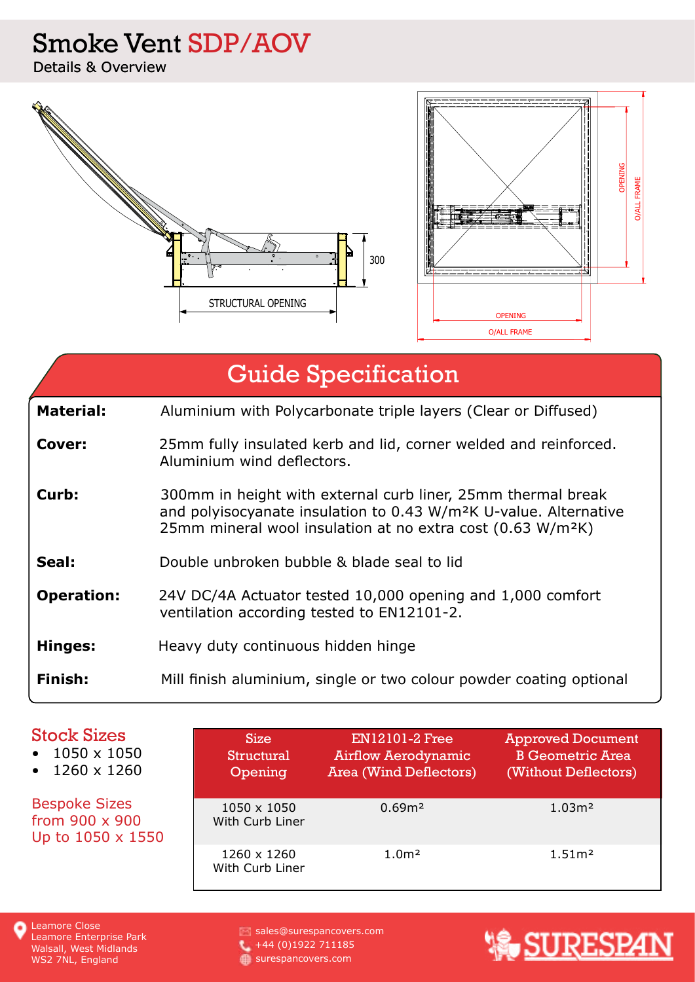### Smoke Vent SDP/AOV

Details & Overview



# Guide Specification

- **Cover:** 25mm fully insulated kerb and lid, corner welded and reinforced. Aluminium wind deflectors.
- **Curb:** 300mm in height with external curb liner, 25mm thermal break and polyisocyanate insulation to 0.43 W/m²K U-value. Alternative 25mm mineral wool insulation at no extra cost (0.63 W/m²K)
- **Seal:** Double unbroken bubble & blade seal to lid
- **Operation:** 24V DC/4A Actuator tested 10,000 opening and 1,000 comfort ventilation according tested to EN12101-2.
- **Hinges:** Heavy duty continuous hidden hinge
- **Finish:** Mill finish aluminium, single or two colour powder coating optional

| <b>Stock Sizes</b><br>1050 x 1050<br>$\bullet$<br>$\cdot$ 1260 x 1260 | <b>Size</b><br><b>Structural</b><br>Opening | <b>EN12101-2 Free</b><br><b>Airflow Aerodynamic</b><br><b>Area (Wind Deflectors)</b> | <b>Approved Document</b><br><b>B</b> Geometric Area<br>(Without Deflectors) |
|-----------------------------------------------------------------------|---------------------------------------------|--------------------------------------------------------------------------------------|-----------------------------------------------------------------------------|
| <b>Bespoke Sizes</b><br>from 900 x 900<br>Up to 1050 x 1550           | 1050 x 1050<br>With Curb Liner              | 0.69 <sup>m2</sup>                                                                   | 1.03 <sup>m2</sup>                                                          |
|                                                                       | 1260 x 1260<br>With Curb Liner              | 1.0 <sup>m</sup>                                                                     | 1.51 <sup>m</sup>                                                           |

sales@surespancovers.com +44 (0)1922 711185 surespancovers.com